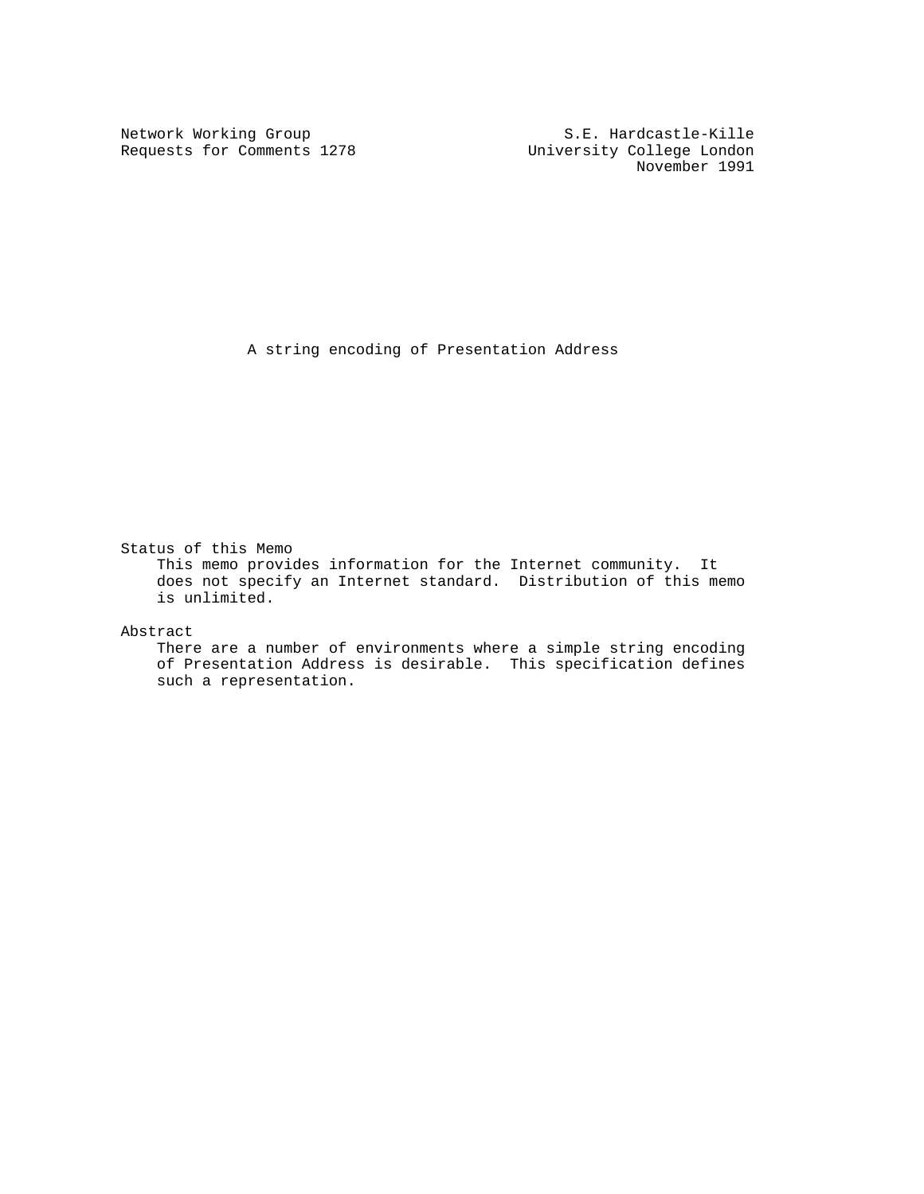Network Working Group S.E. Hardcastle-Kille Requests for Comments 1278 University College London November 1991

A string encoding of Presentation Address

Status of this Memo

 This memo provides information for the Internet community. It does not specify an Internet standard. Distribution of this memo is unlimited.

Abstract

 There are a number of environments where a simple string encoding of Presentation Address is desirable. This specification defines such a representation.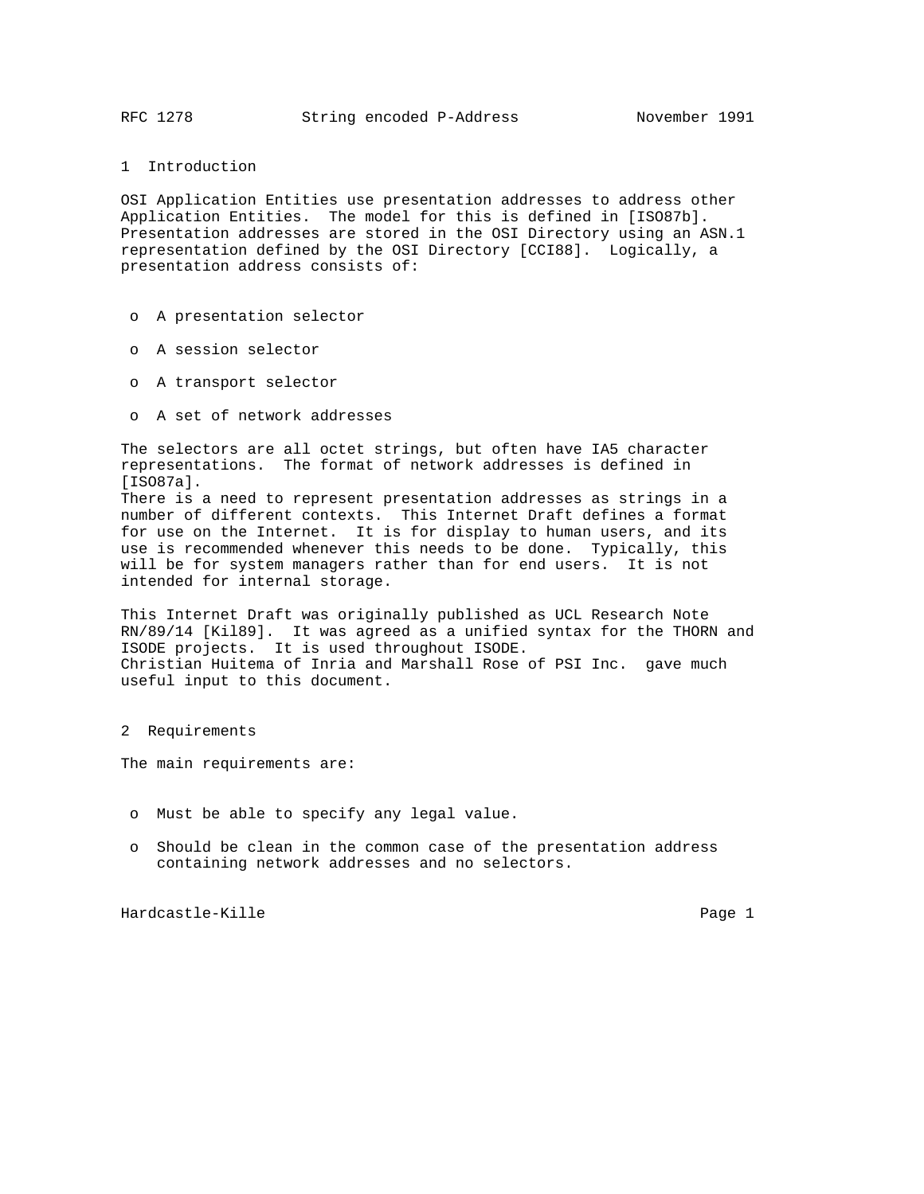## 1 Introduction

OSI Application Entities use presentation addresses to address other Application Entities. The model for this is defined in [ISO87b]. Presentation addresses are stored in the OSI Directory using an ASN.1 representation defined by the OSI Directory [CCI88]. Logically, a presentation address consists of:

- o A presentation selector
- o A session selector
- o A transport selector
- o A set of network addresses

The selectors are all octet strings, but often have IA5 character representations. The format of network addresses is defined in [ISO87a].

There is a need to represent presentation addresses as strings in a number of different contexts. This Internet Draft defines a format for use on the Internet. It is for display to human users, and its use is recommended whenever this needs to be done. Typically, this will be for system managers rather than for end users. It is not intended for internal storage.

This Internet Draft was originally published as UCL Research Note RN/89/14 [Kil89]. It was agreed as a unified syntax for the THORN and ISODE projects. It is used throughout ISODE. Christian Huitema of Inria and Marshall Rose of PSI Inc. gave much useful input to this document.

2 Requirements

The main requirements are:

- o Must be able to specify any legal value.
- o Should be clean in the common case of the presentation address containing network addresses and no selectors.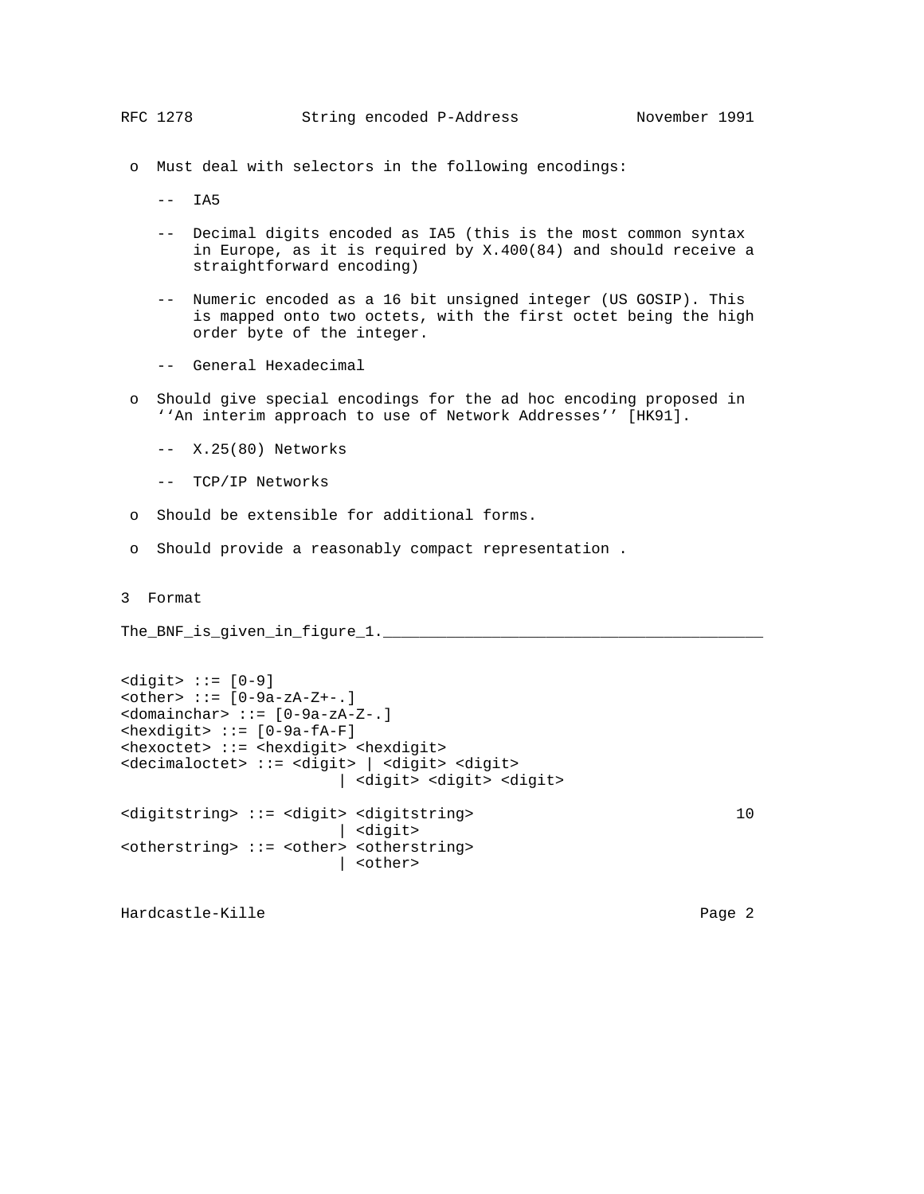- o Must deal with selectors in the following encodings:
	- $--$  IA5
	- -- Decimal digits encoded as IA5 (this is the most common syntax in Europe, as it is required by X.400(84) and should receive a straightforward encoding)
	- -- Numeric encoded as a 16 bit unsigned integer (US GOSIP). This is mapped onto two octets, with the first octet being the high order byte of the integer.
	- -- General Hexadecimal
- o Should give special encodings for the ad hoc encoding proposed in ''An interim approach to use of Network Addresses'' [HK91].
	- -- X.25(80) Networks
	- -- TCP/IP Networks
- o Should be extensible for additional forms.
- o Should provide a reasonably compact representation .
- 3 Format

The\_BNF\_is\_given\_in\_figure\_1.\_\_\_\_\_\_\_\_\_\_\_\_\_\_\_\_\_\_\_\_\_\_\_\_\_\_\_\_\_\_\_\_\_\_\_\_\_\_\_\_\_\_

```
\langle \text{digit} \rangle ::= [0-9]\text{cother} > : := [0-9a-zA-Z+-.]<domainchar> ::= [0-9a-zA-Z-.]
\texttt{checkdigit} ::= [0-9a-fA-F]<hexoctet> ::= <hexdigit> <hexdigit>
<decimaloctet> ::= <digit> | <digit> <digit>
                         | <digit> <digit> <digit>
<digitstring> ::= <digit> <digitstring> 10
                         | <digit>
<otherstring> ::= <other> <otherstring>
                         | <other>
```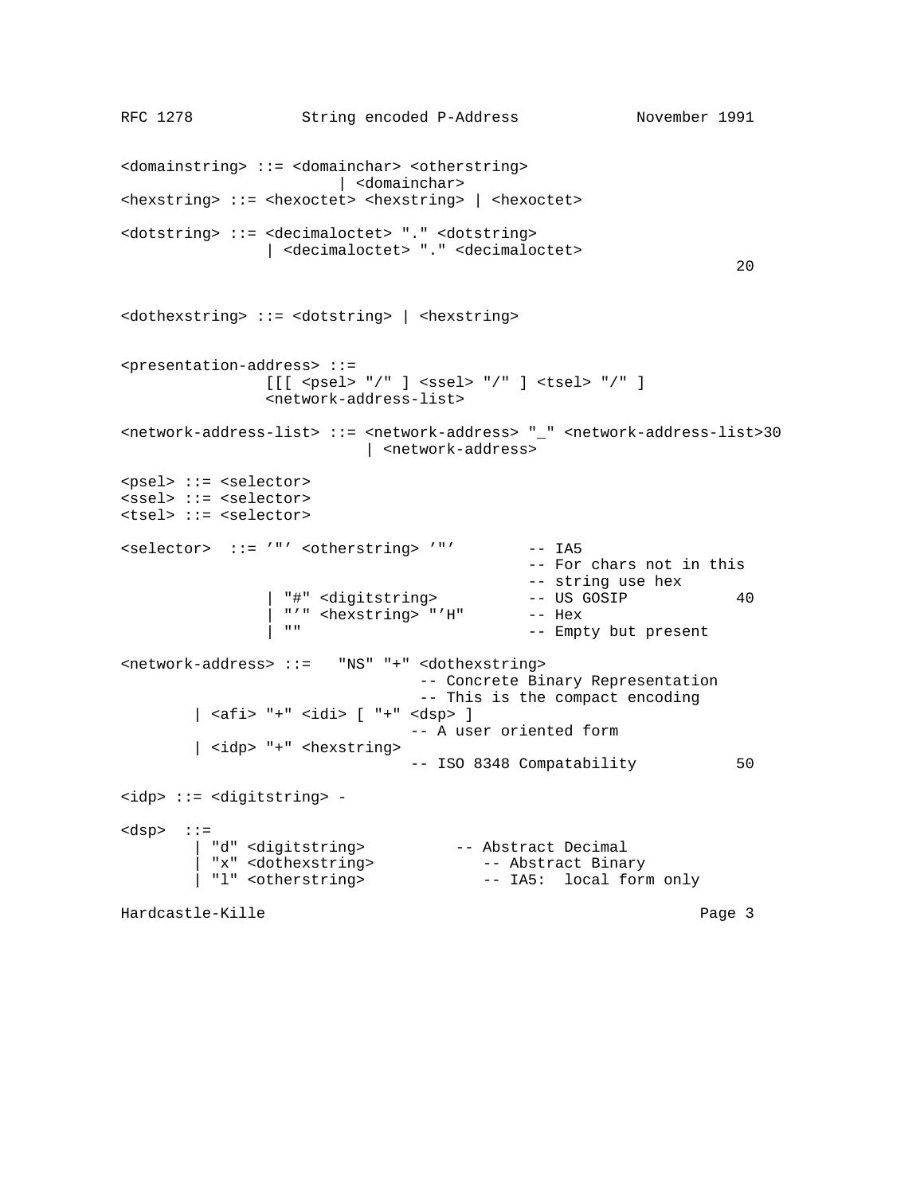```
RFC 1278 String encoded P-Address November 1991
<domainstring> ::= <domainchar> <otherstring>
                     | <domainchar>
<hexstring> ::= <hexoctet> <hexstring> | <hexoctet>
<dotstring> ::= <decimaloctet> "." <dotstring>
              | <decimaloctet> "." <decimaloctet>
20<dothexstring> ::= <dotstring> | <hexstring>
<presentation-address> ::=
             [[[ <psel> "/" ] <ssel> "/" ] <tsel> "/" ]
              <network-address-list>
<network-address-list> ::= <network-address> "_" <network-address-list>30
                        | <network-address>
<psel> ::= <selector>
<ssel> ::= <selector>
<tsel> ::= <selector>
<selector> ::= '"' <otherstring> '"' -- IA5
                                       -- For chars not in this
                                     -- string use hex<br>-- US GOSIP
 | "#" <digitstring> -- US GOSIP 40
| "'" <hexstring> "'H" -- Hex
               "#" <uryrcscring> "'H" -- Hex<br>"'" <hexstring> "'H" -- Hex<br>"" -- Empty but present
<network-address> ::= "NS" "+" <dothexstring>
                             -- Concrete Binary Representation
                             -- This is the compact encoding
        | <afi> "+" <idi> [ "+" <dsp> ]
                            -- A user oriented form
        | <idp> "+" <hexstring>
                            -- ISO 8348 Compatability 50
<idp> ::= <digitstring> -
<dsp> ::= | "d" <digitstring> -- Abstract Decimal
 | "x" <dothexstring> -- Abstract Binary
 | "l" <otherstring> -- IA5: local form only
Hardcastle-Kille Page 3
```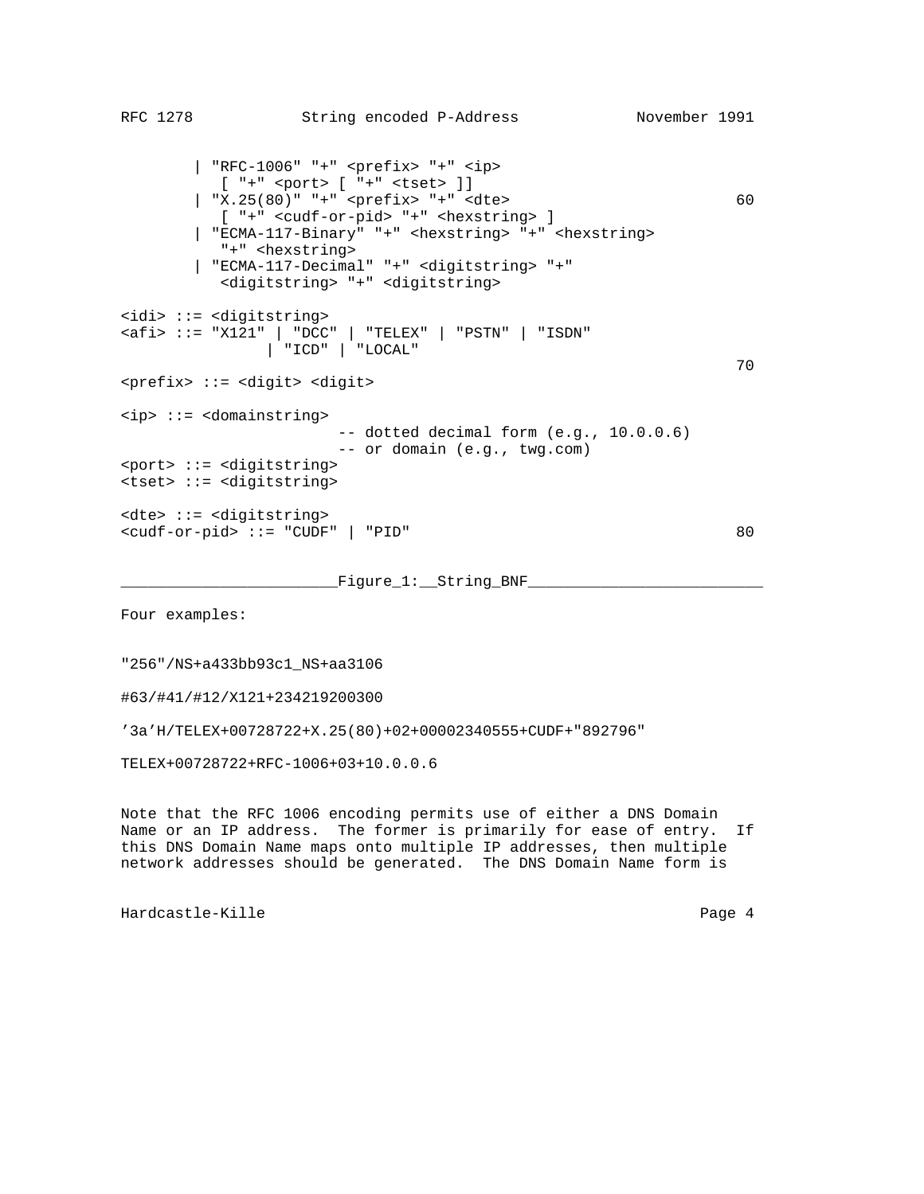```
RFC 1278 String encoded P-Address November 1991
        | "RFC-1006" "+" <prefix> "+" <ip>
         [ "+" <port> [ "+" <tset> ]]
        | "X.25(80)" "+" <prefix> "+" <dte> 60
         [ "+" <cudf-or-pid> "+" <hexstring> ]
       | "ECMA-117-Binary" "+" <hexstring> "+" <hexstring>
         "+" <hexstring>
       | "ECMA-117-Decimal" "+" <digitstring> "+"
         <digitstring> "+" <digitstring>
<idi> ::= <digitstring>
<afi> ::= "X121" | "DCC" | "TELEX" | "PSTN" | "ISDN"
 | "ICD" | "LOCAL"
 70
<prefix> ::= <digit> <digit>
<ip> ::= <domainstring>
                    -- dotted decimal form (e.g., 10.0.0.6)
                    -- or domain (e.g., twg.com)
<port> ::= <digitstring>
<tset> ::= <digitstring>
<dte> ::= <digitstring>
<cudf-or-pid> ::= "CUDF" | "PID" 80
```

```
________________________Figure_1:__String_BNF__________________________
```
Four examples:

"256"/NS+a433bb93c1\_NS+aa3106

#63/#41/#12/X121+234219200300

'3a'H/TELEX+00728722+X.25(80)+02+00002340555+CUDF+"892796"

TELEX+00728722+RFC-1006+03+10.0.0.6

Note that the RFC 1006 encoding permits use of either a DNS Domain Name or an IP address. The former is primarily for ease of entry. If this DNS Domain Name maps onto multiple IP addresses, then multiple network addresses should be generated. The DNS Domain Name form is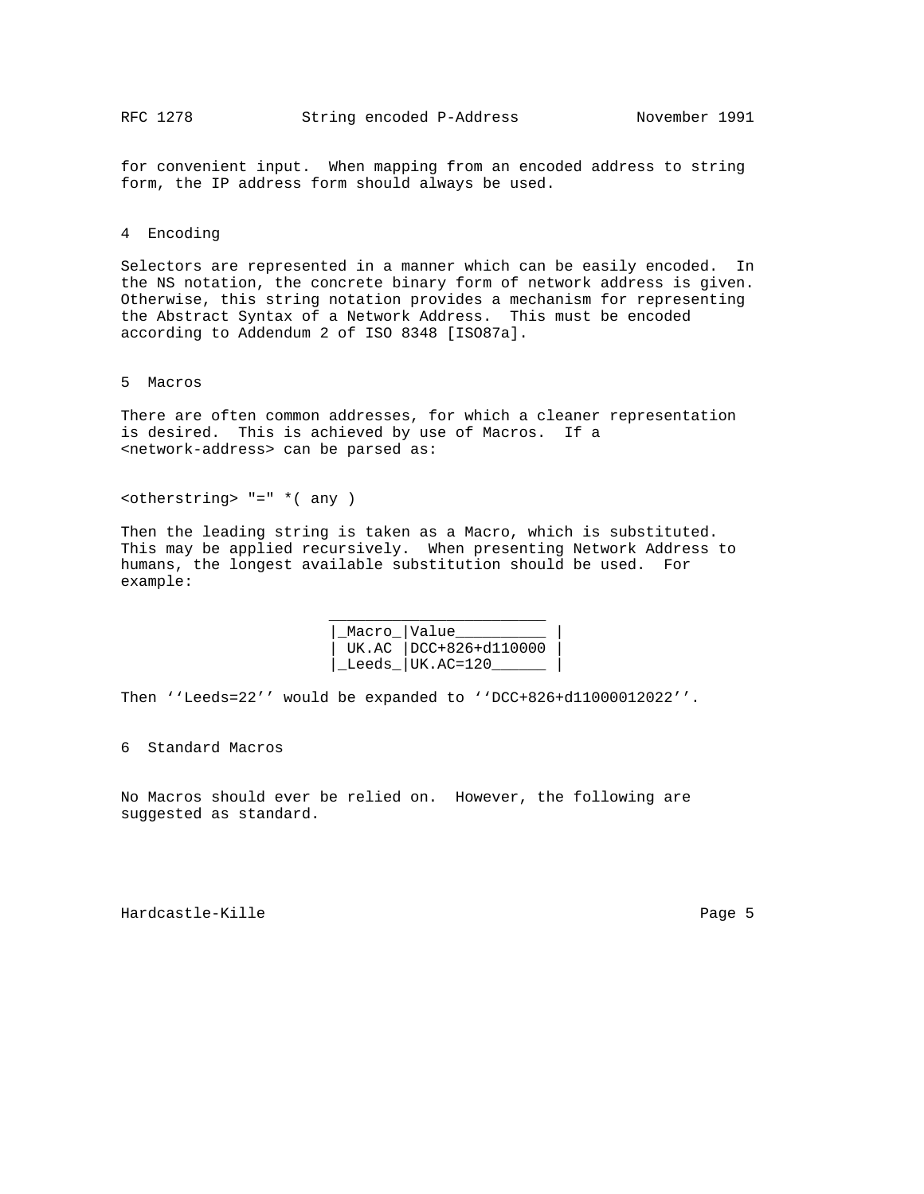for convenient input. When mapping from an encoded address to string form, the IP address form should always be used.

#### 4 Encoding

Selectors are represented in a manner which can be easily encoded. In the NS notation, the concrete binary form of network address is given. Otherwise, this string notation provides a mechanism for representing the Abstract Syntax of a Network Address. This must be encoded according to Addendum 2 of ISO 8348 [ISO87a].

5 Macros

There are often common addresses, for which a cleaner representation is desired. This is achieved by use of Macros. If a <network-address> can be parsed as:

 $\left\{\text{otherwise}\right\}$  =" \*( any )

Then the leading string is taken as a Macro, which is substituted. This may be applied recursively. When presenting Network Address to humans, the longest available substitution should be used. For example:

|  | Macro   Value            |
|--|--------------------------|
|  | UK.AC   DCC+826+d110000  |
|  | $\verb Leeds /UK.AC=120$ |

Then ''Leeds=22'' would be expanded to ''DCC+826+d11000012022''.

6 Standard Macros

No Macros should ever be relied on. However, the following are suggested as standard.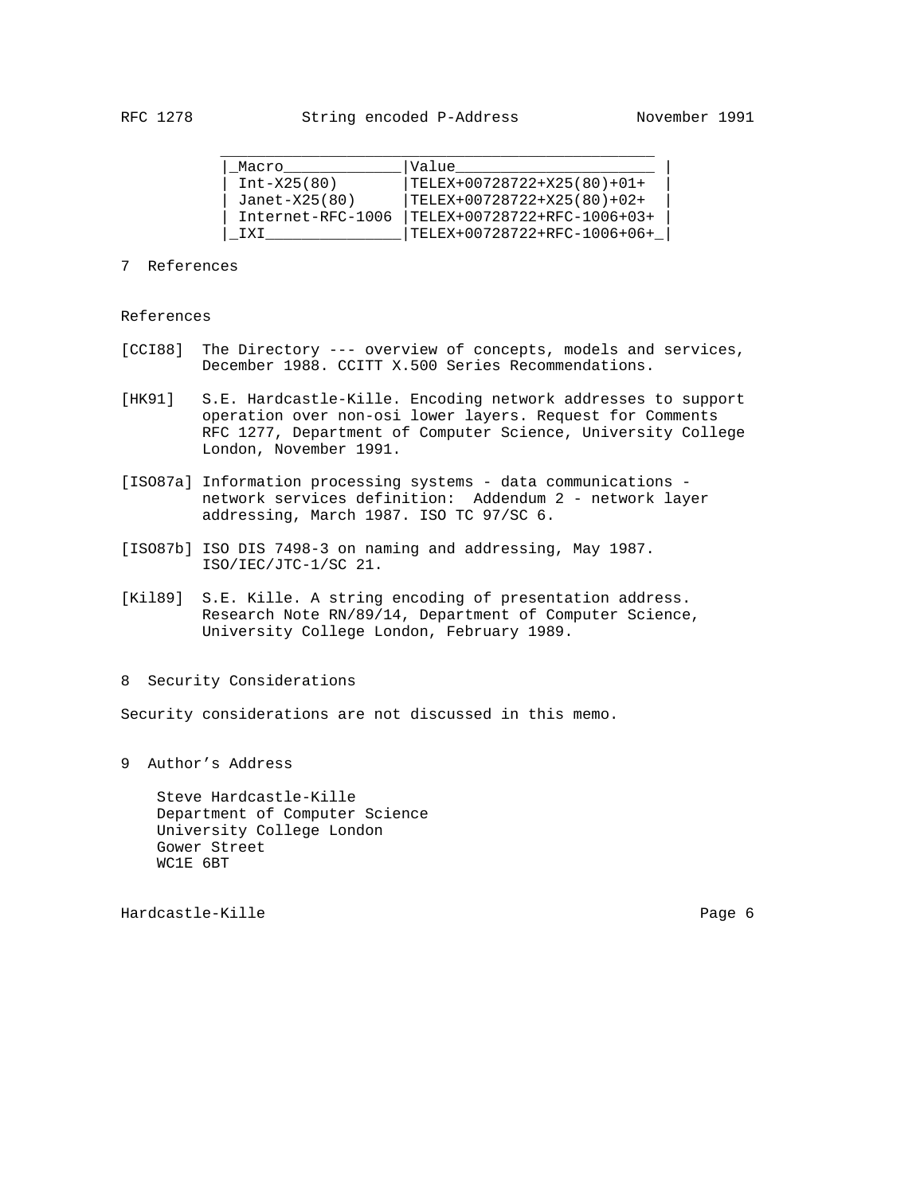| Macro             | Value                       |
|-------------------|-----------------------------|
| $Int - X25(80)$   | TELEX+00728722+X25(80)+01+  |
| $Janet-X25(80)$   | TELEX+00728722+X25(80)+02+  |
| Internet-RFC-1006 | TELEX+00728722+RFC-1006+03+ |
|                   | TELEX+00728722+RFC-1006+06+ |

## 7 References

# References

- [CCI88] The Directory --- overview of concepts, models and services, December 1988. CCITT X.500 Series Recommendations.
- [HK91] S.E. Hardcastle-Kille. Encoding network addresses to support operation over non-osi lower layers. Request for Comments RFC 1277, Department of Computer Science, University College London, November 1991.
- [ISO87a] Information processing systems data communications network services definition: Addendum 2 - network layer addressing, March 1987. ISO TC 97/SC 6.
- [ISO87b] ISO DIS 7498-3 on naming and addressing, May 1987. ISO/IEC/JTC-1/SC 21.
- [Kil89] S.E. Kille. A string encoding of presentation address. Research Note RN/89/14, Department of Computer Science, University College London, February 1989.

## 8 Security Considerations

Security considerations are not discussed in this memo.

9 Author's Address

 Steve Hardcastle-Kille Department of Computer Science University College London Gower Street WC1E 6BT